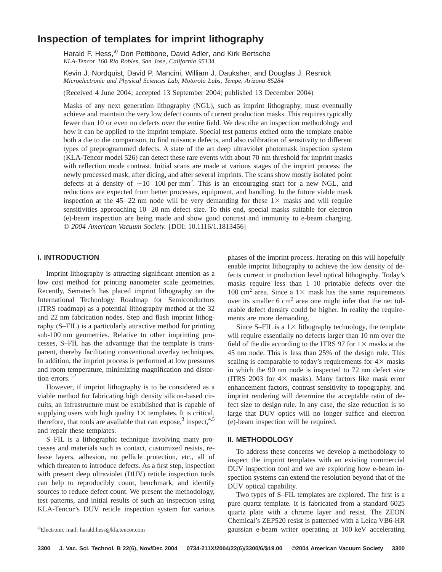# **Inspection of templates for imprint lithography**

Harald F. Hess,<sup>a)</sup> Don Pettibone, David Adler, and Kirk Bertsche *KLA-Tencor 160 Rio Robles, San Jose, California 95134*

Kevin J. Nordquist, David P. Mancini, William J. Dauksher, and Douglas J. Resnick *Microelectronic and Physical Sciences Lab, Motorola Labs, Tempe, Arizona 85284*

(Received 4 June 2004; accepted 13 September 2004; published 13 December 2004)

Masks of any next generation lithography (NGL), such as imprint lithography, must eventually achieve and maintain the very low defect counts of current production masks. This requires typically fewer than 10 or even no defects over the entire field. We describe an inspection methodology and how it can be applied to the imprint template. Special test patterns etched onto the template enable both a die to die comparison, to find nuisance defects, and also calibration of sensitivity to different types of preprogrammed defects. A state of the art deep ultraviolet photomask inspection system (KLA-Tencor model 526) can detect these rare events with about 70 nm threshold for imprint masks with reflection mode contrast. Initial scans are made at various stages of the imprint process: the newly processed mask, after dicing, and after several imprints. The scans show mostly isolated point defects at a density of  $\sim$ 10–100 per mm<sup>2</sup>. This is an encouraging start for a new NGL, and reductions are expected from better processes, equipment, and handling. In the future viable mask inspection at the  $45-22$  nm node will be very demanding for these  $1\times$  masks and will require sensitivities approaching 10–20 nm defect size. To this end, special masks suitable for electron (e)-beam inspection are being made and show good contrast and immunity to e-beam charging. *© 2004 American Vacuum Society.* [DOI: 10.1116/1.1813456]

## **I. INTRODUCTION**

Imprint lithography is attracting significant attention as a low cost method for printing nanometer scale geometries. Recently, Sematech has placed imprint lithography on the International Technology Roadmap for Semiconductors (ITRS roadmap) as a potential lithography method at the 32 and 22 nm fabrication nodes. Step and flash imprint lithography (S–FIL) is a particularly attractive method for printing sub-100 nm geometries. Relative to other imprinting processes, S–FIL has the advantage that the template is transparent, thereby facilitating conventional overlay techniques. In addition, the imprint process is performed at low pressures and room temperature, minimizing magnification and distortion errors.<sup>1,2</sup>

However, if imprint lithography is to be considered as a viable method for fabricating high density silicon-based circuits, an infrastructure must be established that is capable of supplying users with high quality  $1\times$  templates. It is critical, therefore, that tools are available that can expose, $3 \text{ inspect}$ ,  $4.5$ and repair these templates.

S–FIL is a lithographic technique involving many processes and materials such as contact, customized resists, release layers, adhesion, no pellicle protection, etc., all of which threaten to introduce defects. As a first step, inspection with present deep ultraviolet (DUV) reticle inspection tools can help to reproducibly count, benchmark, and identify sources to reduce defect count. We present the methodology, test patterns, and initial results of such an inspection using KLA-Tencor's DUV reticle inspection system for various

phases of the imprint process. Iterating on this will hopefully enable imprint lithography to achieve the low density of defects current in production level optical lithography. Today's masks require less than 1–10 printable defects over the 100 cm<sup>2</sup> area. Since a  $1\times$  mask has the same requirements over its smaller  $6 \text{ cm}^2$  area one might infer that the net tolerable defect density could be higher. In reality the requirements are more demanding.

Since S–FIL is a  $1\times$  lithography technology, the template will require essentially no defects larger than 10 nm over the field of the die according to the ITRS 97 for  $1\times$  masks at the 45 nm node. This is less than 25% of the design rule. This scaling is comparable to today's requirements for  $4\times$  masks in which the 90 nm node is inspected to 72 nm defect size (ITRS 2003 for  $4\times$  masks). Many factors like mask error enhancement factors, contrast sensitivity to topography, and imprint rendering will determine the acceptable ratio of defect size to design rule. In any case, the size reduction is so large that DUV optics will no longer suffice and electron (e)-beam inspection will be required.

#### **II. METHODOLOGY**

To address these concerns we develop a methodology to inspect the imprint templates with an existing commercial DUV inspection tool and we are exploring how e-beam inspection systems can extend the resolution beyond that of the DUV optical capability.

Two types of S–FIL templates are explored. The first is a pure quartz template. It is fabricated from a standard 6025 quartz plate with a chrome layer and resist. The ZEON Chemical's ZEP520 resist is patterned with a Leica VB6-HR gaussian e-beam writer operating at 100 keV accelerating

Electronic mail: harald.hess@kla.tencor.com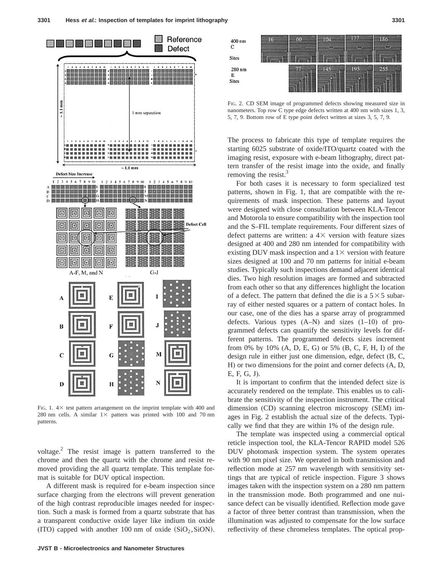

FIG. 1.  $4\times$  test pattern arrangement on the imprint template with 400 and 280 nm cells. A similar  $1\times$  pattern was printed with 100 and 70 nm patterns.

voltage. $\frac{2}{\pi}$  The resist image is pattern transferred to the chrome and then the quartz with the chrome and resist removed providing the all quartz template. This template format is suitable for DUV optical inspection.

A different mask is required for e-beam inspection since surface charging from the electrons will prevent generation of the high contrast reproducible images needed for inspection. Such a mask is formed from a quartz substrate that has a transparent conductive oxide layer like indium tin oxide (ITO) capped with another 100 nm of oxide  $(SiO<sub>2</sub>,SiON)$ .



FIG. 2. CD SEM image of programmed defects showing measured size in nanometers. Top row C type edge defects written at 400 nm with sizes 1, 3, 5, 7, 9. Bottom row of E type point defect written at sizes 3, 5, 7, 9.

The process to fabricate this type of template requires the starting 6025 substrate of oxide/ITO/quartz coated with the imaging resist, exposure with e-beam lithography, direct pattern transfer of the resist image into the oxide, and finally removing the resist. $3$ 

For both cases it is necessary to form specialized test patterns, shown in Fig. 1, that are compatible with the requirements of mask inspection. These patterns and layout were designed with close consultation between KLA-Tencor and Motorola to ensure compatibility with the inspection tool and the S–FIL template requirements. Four different sizes of defect patterns are written: a  $4 \times$  version with feature sizes designed at 400 and 280 nm intended for compatibility with existing DUV mask inspection and a  $1\times$  version with feature sizes designed at 100 and 70 nm patterns for initial e-beam studies. Typically such inspections demand adjacent identical dies. Two high resolution images are formed and subtracted from each other so that any differences highlight the location of a defect. The pattern that defined the die is a  $5 \times 5$  subarray of either nested squares or a pattern of contact holes. In our case, one of the dies has a sparse array of programmed defects. Various types  $(A-N)$  and sizes  $(1-10)$  of programmed defects can quantify the sensitivity levels for different patterns. The programmed defects sizes increment from 0% by 10% (A, D, E, G) or 5% (B, C, F, H, I) of the design rule in either just one dimension, edge, defect (B, C, H) or two dimensions for the point and corner defects (A, D, E, F, G, J).

It is important to confirm that the intended defect size is accurately rendered on the template. This enables us to calibrate the sensitivity of the inspection instrument. The critical dimension (CD) scanning electron microscopy (SEM) images in Fig. 2 establish the actual size of the defects. Typically we find that they are within 1% of the design rule.

The template was inspected using a commercial optical reticle inspection tool, the KLA-Tencor RAPID model 526 DUV photomask inspection system. The system operates with 90 nm pixel size. We operated in both transmission and reflection mode at 257 nm wavelength with sensitivity settings that are typical of reticle inspection. Figure 3 shows images taken with the inspection system on a 280 nm pattern in the transmission mode. Both programmed and one nuisance defect can be visually identified. Reflection mode gave a factor of three better contrast than transmission, when the illumination was adjusted to compensate for the low surface reflectivity of these chromeless templates. The optical prop-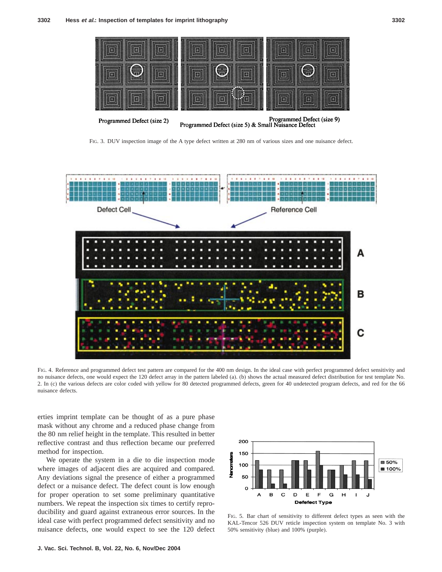

FIG. 3. DUV inspection image of the A type defect written at 280 nm of various sizes and one nuisance defect.



FIG. 4. Reference and programmed defect test pattern are compared for the 400 nm design. In the ideal case with perfect programmed defect sensitivity and no nuisance defects, one would expect the 120 defect array in the pattern labeled (a). (b) shows the actual measured defect distribution for test template No. 2. In (c) the various defects are color coded with yellow for 80 detected programmed defects, green for 40 undetected program defects, and red for the 66 nuisance defects.

erties imprint template can be thought of as a pure phase mask without any chrome and a reduced phase change from the 80 nm relief height in the template. This resulted in better reflective contrast and thus reflection became our preferred method for inspection.

We operate the system in a die to die inspection mode where images of adjacent dies are acquired and compared. Any deviations signal the presence of either a programmed defect or a nuisance defect. The defect count is low enough for proper operation to set some preliminary quantitative numbers. We repeat the inspection six times to certify reproducibility and guard against extraneous error sources. In the ideal case with perfect programmed defect sensitivity and no nuisance defects, one would expect to see the 120 defect



FIG. 5. Bar chart of sensitivity to different defect types as seen with the KAL-Tencor 526 DUV reticle inspection system on template No. 3 with 50% sensitivity (blue) and 100% (purple).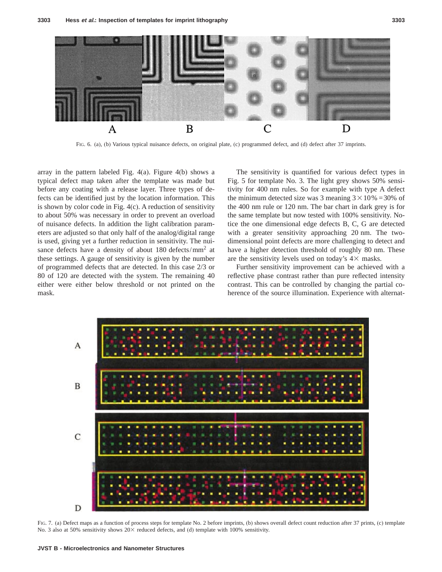

FIG. 6. (a), (b) Various typical nuisance defects, on original plate, (c) programmed defect, and (d) defect after 37 imprints.

array in the pattern labeled Fig. 4(a). Figure 4(b) shows a typical defect map taken after the template was made but before any coating with a release layer. Three types of defects can be identified just by the location information. This is shown by color code in Fig. 4(c). A reduction of sensitivity to about 50% was necessary in order to prevent an overload of nuisance defects. In addition the light calibration parameters are adjusted so that only half of the analog/digital range is used, giving yet a further reduction in sensitivity. The nuisance defects have a density of about  $180$  defects/mm<sup>2</sup> at these settings. A gauge of sensitivity is given by the number of programmed defects that are detected. In this case 2/3 or 80 of 120 are detected with the system. The remaining 40 either were either below threshold or not printed on the mask.

The sensitivity is quantified for various defect types in Fig. 5 for template No. 3. The light grey shows 50% sensitivity for 400 nm rules. So for example with type A defect the minimum detected size was 3 meaning  $3 \times 10\% = 30\%$  of the 400 nm rule or 120 nm. The bar chart in dark grey is for the same template but now tested with 100% sensitivity. Notice the one dimensional edge defects B, C, G are detected with a greater sensitivity approaching 20 nm. The twodimensional point defects are more challenging to detect and have a higher detection threshold of roughly 80 nm. These are the sensitivity levels used on today's  $4\times$  masks.

Further sensitivity improvement can be achieved with a reflective phase contrast rather than pure reflected intensity contrast. This can be controlled by changing the partial coherence of the source illumination. Experience with alternat-



FIG. 7. (a) Defect maps as a function of process steps for template No. 2 before imprints, (b) shows overall defect count reduction after 37 prints, (c) template No. 3 also at 50% sensitivity shows  $20\times$  reduced defects, and (d) template with 100% sensitivity.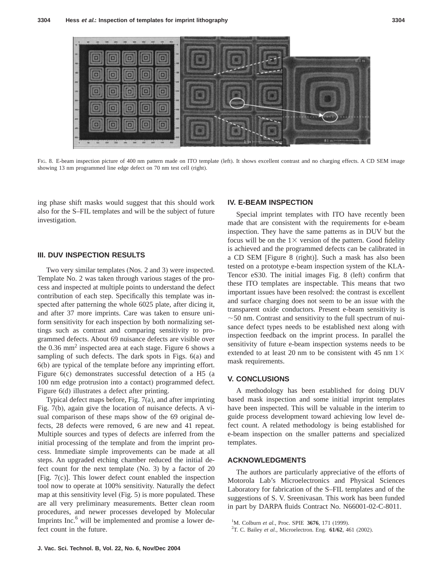

FIG. 8. E-beam inspection picture of 400 nm pattern made on ITO template (left). It shows excellent contrast and no charging effects. A CD SEM image showing 13 nm programmed line edge defect on 70 nm test cell (right).

ing phase shift masks would suggest that this should work also for the S–FIL templates and will be the subject of future investigation.

#### **III. DUV INSPECTION RESULTS**

Two very similar templates (Nos. 2 and 3) were inspected. Template No. 2 was taken through various stages of the process and inspected at multiple points to understand the defect contribution of each step. Specifically this template was inspected after patterning the whole 6025 plate, after dicing it, and after 37 more imprints. Care was taken to ensure uniform sensitivity for each inspection by both normalizing settings such as contrast and comparing sensitivity to programmed defects. About 69 nuisance defects are visible over the  $0.36$  mm<sup>2</sup> inspected area at each stage. Figure 6 shows a sampling of such defects. The dark spots in Figs. 6(a) and 6(b) are typical of the template before any imprinting effort. Figure 6(c) demonstrates successful detection of a H5 (a 100 nm edge protrusion into a contact) programmed defect. Figure 6(d) illustrates a defect after printing.

Typical defect maps before, Fig. 7(a), and after imprinting Fig. 7(b), again give the location of nuisance defects. A visual comparison of these maps show of the 69 original defects, 28 defects were removed, 6 are new and 41 repeat. Multiple sources and types of defects are inferred from the initial processing of the template and from the imprint process. Immediate simple improvements can be made at all steps. An upgraded etching chamber reduced the initial defect count for the next template (No. 3) by a factor of 20 [Fig. 7(c)]. This lower defect count enabled the inspection tool now to operate at 100% sensitivity. Naturally the defect map at this sensitivity level (Fig. 5) is more populated. These are all very preliminary measurements. Better clean room procedures, and newer processes developed by Molecular Imprints Inc.<sup>6</sup> will be implemented and promise a lower defect count in the future.

## **IV. E-BEAM INSPECTION**

Special imprint templates with ITO have recently been made that are consistent with the requirements for e-beam inspection. They have the same patterns as in DUV but the focus will be on the  $1\times$  version of the pattern. Good fidelity is achieved and the programmed defects can be calibrated in a CD SEM [Figure 8 (right)]. Such a mask has also been tested on a prototype e-beam inspection system of the KLA-Tencor eS30. The initial images Fig. 8 (left) confirm that these ITO templates are inspectable. This means that two important issues have been resolved: the contrast is excellent and surface charging does not seem to be an issue with the transparent oxide conductors. Present e-beam sensitivity is  $\sim$  50 nm. Contrast and sensitivity to the full spectrum of nuisance defect types needs to be established next along with inspection feedback on the imprint process. In parallel the sensitivity of future e-beam inspection systems needs to be extended to at least 20 nm to be consistent with 45 nm  $1\times$ mask requirements.

#### **V. CONCLUSIONS**

A methodology has been established for doing DUV based mask inspection and some initial imprint templates have been inspected. This will be valuable in the interim to guide process development toward achieving low level defect count. A related methodology is being established for e-beam inspection on the smaller patterns and specialized templates.

## **ACKNOWLEDGMENTS**

The authors are particularly appreciative of the efforts of Motorola Lab's Microelectronics and Physical Sciences Laboratory for fabrication of the S–FIL templates and of the suggestions of S. V. Sreenivasan. This work has been funded in part by DARPA fluids Contract No. N66001-02-C-8011.

<sup>&</sup>lt;sup>1</sup>M. Colburn *et al.*, Proc. SPIE **3676**, 171 (1999).

T. C. Bailey *et al.*, Microelectron. Eng. **61/62**, 461 (2002).